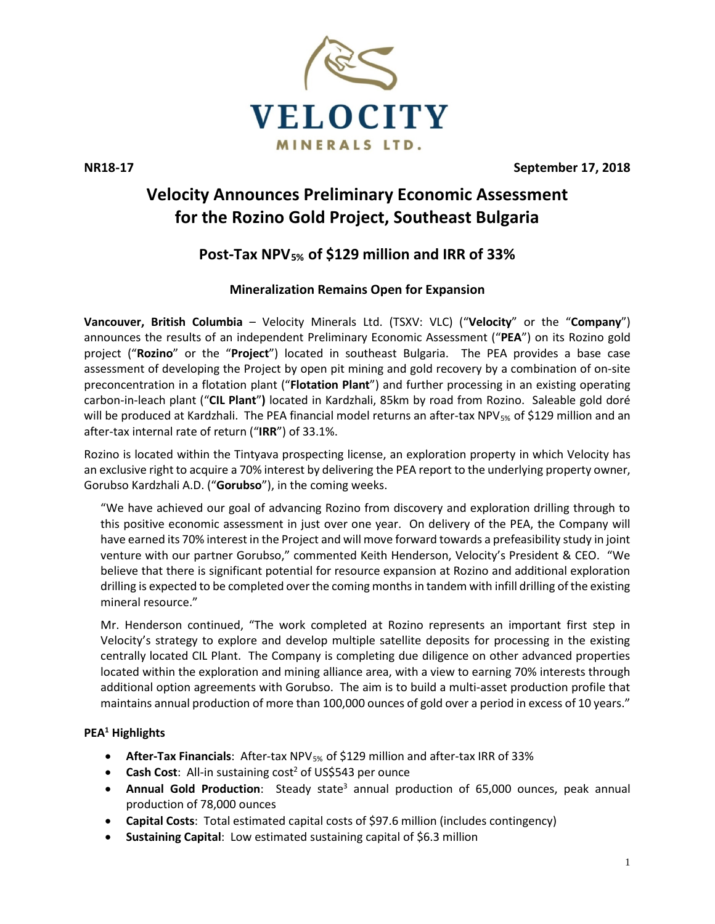

**NR18-17 September 17, 2018**

# **Velocity Announces Preliminary Economic Assessment for the Rozino Gold Project, Southeast Bulgaria**

## **Post-Tax NPV5% of \$129 million and IRR of 33%**

### **Mineralization Remains Open for Expansion**

**Vancouver, British Columbia** – Velocity Minerals Ltd. (TSXV: VLC) ("**Velocity**" or the "**Company**") announces the results of an independent Preliminary Economic Assessment ("**PEA**") on its Rozino gold project ("**Rozino**" or the "**Project**") located in southeast Bulgaria. The PEA provides a base case assessment of developing the Project by open pit mining and gold recovery by a combination of on-site preconcentration in a flotation plant ("**Flotation Plant**") and further processing in an existing operating carbon-in-leach plant ("**CIL Plant**"**)** located in Kardzhali, 85km by road from Rozino. Saleable gold doré will be produced at Kardzhali. The PEA financial model returns an after-tax NPV<sub>5%</sub> of \$129 million and an after-tax internal rate of return ("**IRR**") of 33.1%.

Rozino is located within the Tintyava prospecting license, an exploration property in which Velocity has an exclusive right to acquire a 70% interest by delivering the PEA report to the underlying property owner, Gorubso Kardzhali A.D. ("**Gorubso**"), in the coming weeks.

"We have achieved our goal of advancing Rozino from discovery and exploration drilling through to this positive economic assessment in just over one year. On delivery of the PEA, the Company will have earned its 70% interest in the Project and will move forward towards a prefeasibility study in joint venture with our partner Gorubso," commented Keith Henderson, Velocity's President & CEO. "We believe that there is significant potential for resource expansion at Rozino and additional exploration drilling is expected to be completed over the coming months in tandem with infill drilling of the existing mineral resource."

Mr. Henderson continued, "The work completed at Rozino represents an important first step in Velocity's strategy to explore and develop multiple satellite deposits for processing in the existing centrally located CIL Plant. The Company is completing due diligence on other advanced properties located within the exploration and mining alliance area, with a view to earning 70% interests through additional option agreements with Gorubso. The aim is to build a multi-asset production profile that maintains annual production of more than 100,000 ounces of gold over a period in excess of 10 years."

### **PEA1 Highlights**

- **After-Tax Financials**: After-tax NPV5% of \$129 million and after-tax IRR of 33%
- **Cash Cost**: All-in sustaining cost<sup>2</sup> of US\$543 per ounce
- **Annual Gold Production**: Steady state<sup>3</sup> annual production of 65,000 ounces, peak annual production of 78,000 ounces
- **Capital Costs**: Total estimated capital costs of \$97.6 million (includes contingency)
- **Sustaining Capital**: Low estimated sustaining capital of \$6.3 million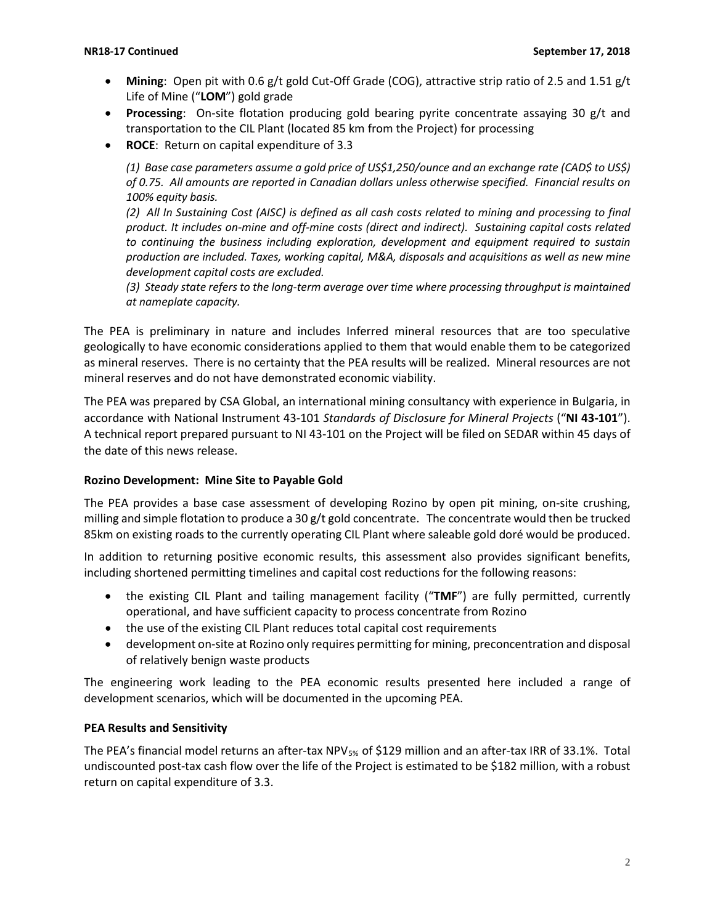- **Mining**: Open pit with 0.6 g/t gold Cut-Off Grade (COG), attractive strip ratio of 2.5 and 1.51 g/t Life of Mine ("**LOM**") gold grade
- **Processing**: On-site flotation producing gold bearing pyrite concentrate assaying 30 g/t and transportation to the CIL Plant (located 85 km from the Project) for processing
- **ROCE**: Return on capital expenditure of 3.3

*(1) Base case parameters assume a gold price of US\$1,250/ounce and an exchange rate (CAD\$ to US\$) of 0.75. All amounts are reported in Canadian dollars unless otherwise specified. Financial results on 100% equity basis.*

*(2) All In Sustaining Cost (AISC) is defined as all cash costs related to mining and processing to final product. It includes on-mine and off-mine costs (direct and indirect). Sustaining capital costs related to continuing the business including exploration, development and equipment required to sustain production are included. Taxes, working capital, M&A, disposals and acquisitions as well as new mine development capital costs are excluded.*

*(3) Steady state refers to the long-term average over time where processing throughput is maintained at nameplate capacity.*

The PEA is preliminary in nature and includes Inferred mineral resources that are too speculative geologically to have economic considerations applied to them that would enable them to be categorized as mineral reserves. There is no certainty that the PEA results will be realized. Mineral resources are not mineral reserves and do not have demonstrated economic viability.

The PEA was prepared by CSA Global, an international mining consultancy with experience in Bulgaria, in accordance with National Instrument 43-101 *Standards of Disclosure for Mineral Projects* ("**NI 43-101**"). A technical report prepared pursuant to NI 43-101 on the Project will be filed on SEDAR within 45 days of the date of this news release.

### **Rozino Development: Mine Site to Payable Gold**

The PEA provides a base case assessment of developing Rozino by open pit mining, on-site crushing, milling and simple flotation to produce a 30 g/t gold concentrate. The concentrate would then be trucked 85km on existing roads to the currently operating CIL Plant where saleable gold doré would be produced.

In addition to returning positive economic results, this assessment also provides significant benefits, including shortened permitting timelines and capital cost reductions for the following reasons:

- the existing CIL Plant and tailing management facility ("**TMF**") are fully permitted, currently operational, and have sufficient capacity to process concentrate from Rozino
- the use of the existing CIL Plant reduces total capital cost requirements
- development on-site at Rozino only requires permitting for mining, preconcentration and disposal of relatively benign waste products

The engineering work leading to the PEA economic results presented here included a range of development scenarios, which will be documented in the upcoming PEA.

### **PEA Results and Sensitivity**

The PEA's financial model returns an after-tax NPV<sub>5%</sub> of \$129 million and an after-tax IRR of 33.1%. Total undiscounted post-tax cash flow over the life of the Project is estimated to be \$182 million, with a robust return on capital expenditure of 3.3.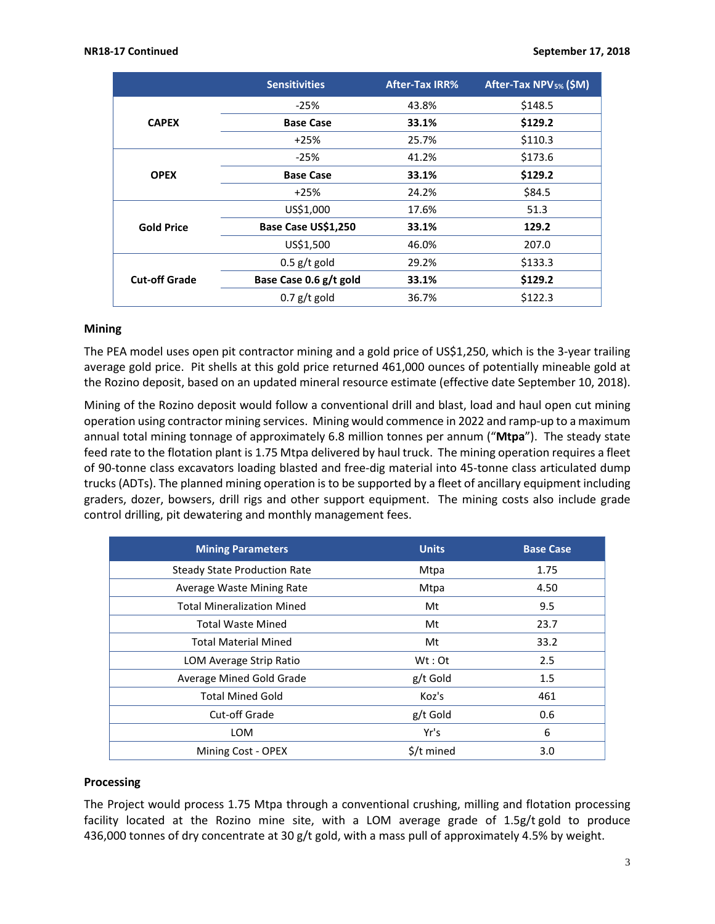|                      | <b>Sensitivities</b>   | <b>After-Tax IRR%</b> | After-Tax NPV <sub>5%</sub> (\$M) |
|----------------------|------------------------|-----------------------|-----------------------------------|
|                      | $-25%$                 | 43.8%                 | \$148.5                           |
| <b>CAPEX</b>         | <b>Base Case</b>       | 33.1%                 | \$129.2                           |
|                      | $+25%$                 | 25.7%                 | \$110.3                           |
|                      | $-25%$                 | 41.2%                 | \$173.6                           |
| <b>OPEX</b>          | <b>Base Case</b>       | 33.1%                 | \$129.2                           |
|                      | $+25%$                 | 24.2%                 | \$84.5                            |
|                      | US\$1,000              | 17.6%                 | 51.3                              |
| <b>Gold Price</b>    | Base Case US\$1,250    | 33.1%                 | 129.2                             |
|                      | US\$1,500              | 46.0%                 | 207.0                             |
|                      | $0.5$ g/t gold         | 29.2%                 | \$133.3                           |
| <b>Cut-off Grade</b> | Base Case 0.6 g/t gold | 33.1%                 | \$129.2                           |
|                      | $0.7$ g/t gold         | 36.7%                 | \$122.3                           |

### **Mining**

The PEA model uses open pit contractor mining and a gold price of US\$1,250, which is the 3-year trailing average gold price. Pit shells at this gold price returned 461,000 ounces of potentially mineable gold at the Rozino deposit, based on an updated mineral resource estimate (effective date September 10, 2018).

Mining of the Rozino deposit would follow a conventional drill and blast, load and haul open cut mining operation using contractor mining services. Mining would commence in 2022 and ramp-up to a maximum annual total mining tonnage of approximately 6.8 million tonnes per annum ("**Mtpa**"). The steady state feed rate to the flotation plant is 1.75 Mtpa delivered by haul truck. The mining operation requires a fleet of 90-tonne class excavators loading blasted and free-dig material into 45-tonne class articulated dump trucks (ADTs). The planned mining operation is to be supported by a fleet of ancillary equipment including graders, dozer, bowsers, drill rigs and other support equipment. The mining costs also include grade control drilling, pit dewatering and monthly management fees.

| <b>Mining Parameters</b>            | <b>Units</b> | <b>Base Case</b> |
|-------------------------------------|--------------|------------------|
| <b>Steady State Production Rate</b> | Mtpa         | 1.75             |
| Average Waste Mining Rate           | Mtpa         | 4.50             |
| <b>Total Mineralization Mined</b>   | Mt           | 9.5              |
| Total Waste Mined                   | Mt           | 23.7             |
| <b>Total Material Mined</b>         | Mt           | 33.2             |
| LOM Average Strip Ratio             | $Wt:$ Ot     | 2.5              |
| Average Mined Gold Grade            | g/t Gold     | 1.5              |
| <b>Total Mined Gold</b>             | Koz's        | 461              |
| Cut-off Grade                       | g/t Gold     | 0.6              |
| <b>LOM</b>                          | Yr's         | 6                |
| Mining Cost - OPEX                  | \$/t mined   | 3.0              |

### **Processing**

The Project would process 1.75 Mtpa through a conventional crushing, milling and flotation processing facility located at the Rozino mine site, with a LOM average grade of 1.5g/t gold to produce 436,000 tonnes of dry concentrate at 30 g/t gold, with a mass pull of approximately 4.5% by weight.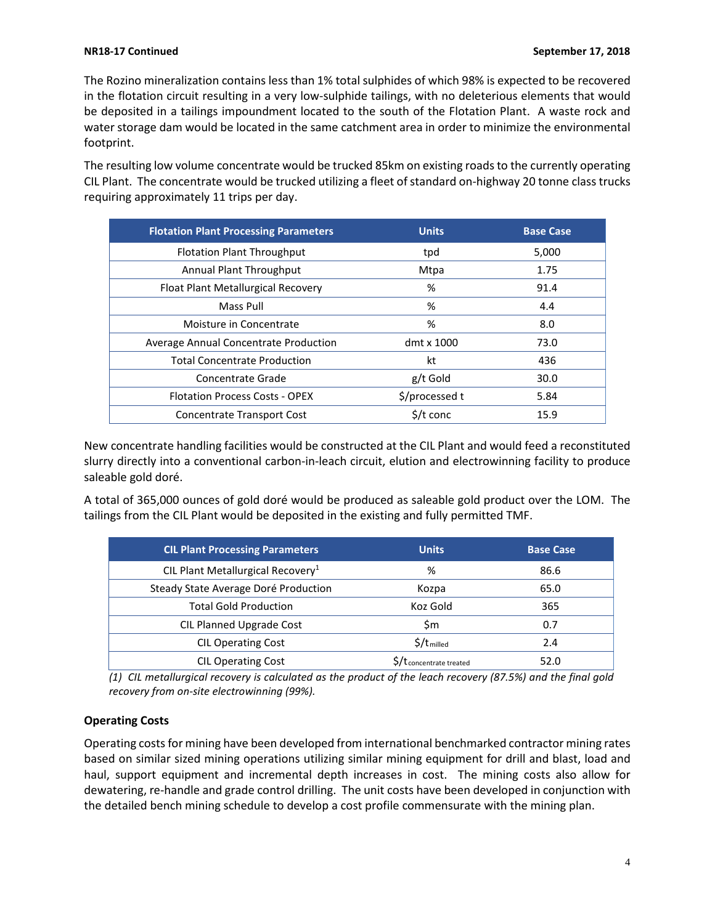The Rozino mineralization contains less than 1% total sulphides of which 98% is expected to be recovered in the flotation circuit resulting in a very low-sulphide tailings, with no deleterious elements that would be deposited in a tailings impoundment located to the south of the Flotation Plant. A waste rock and water storage dam would be located in the same catchment area in order to minimize the environmental footprint.

The resulting low volume concentrate would be trucked 85km on existing roads to the currently operating CIL Plant. The concentrate would be trucked utilizing a fleet of standard on-highway 20 tonne class trucks requiring approximately 11 trips per day.

| <b>Flotation Plant Processing Parameters</b> | <b>Units</b>       | <b>Base Case</b> |
|----------------------------------------------|--------------------|------------------|
| <b>Flotation Plant Throughput</b>            | tpd                | 5,000            |
| Annual Plant Throughput                      | Mtpa               | 1.75             |
| Float Plant Metallurgical Recovery           | %                  | 91.4             |
| Mass Pull                                    | %                  | 4.4              |
| Moisture in Concentrate                      | %                  | 8.0              |
| Average Annual Concentrate Production        | dmt x 1000         | 73.0             |
| <b>Total Concentrate Production</b>          | kt                 | 436              |
| Concentrate Grade                            | g/t Gold           | 30.0             |
| <b>Flotation Process Costs - OPEX</b>        | \$/processed t     | 5.84             |
| Concentrate Transport Cost                   | $\frac{1}{2}$ conc | 15.9             |

New concentrate handling facilities would be constructed at the CIL Plant and would feed a reconstituted slurry directly into a conventional carbon-in-leach circuit, elution and electrowinning facility to produce saleable gold doré.

A total of 365,000 ounces of gold doré would be produced as saleable gold product over the LOM. The tailings from the CIL Plant would be deposited in the existing and fully permitted TMF.

| <b>CIL Plant Processing Parameters</b>        | <b>Units</b>            | <b>Base Case</b> |
|-----------------------------------------------|-------------------------|------------------|
| CIL Plant Metallurgical Recovery <sup>1</sup> | %                       | 86.6             |
| Steady State Average Doré Production          | Kozpa                   | 65.0             |
| <b>Total Gold Production</b>                  | Koz Gold                | 365              |
| CIL Planned Upgrade Cost                      | Sm                      | 0.7              |
| <b>CIL Operating Cost</b>                     | $$/t$ milled            | 2.4              |
| <b>CIL Operating Cost</b>                     | S/t concentrate treated | 52.0             |

*(1) CIL metallurgical recovery is calculated as the product of the leach recovery (87.5%) and the final gold recovery from on-site electrowinning (99%).*

### **Operating Costs**

Operating costs for mining have been developed from international benchmarked contractor mining rates based on similar sized mining operations utilizing similar mining equipment for drill and blast, load and haul, support equipment and incremental depth increases in cost. The mining costs also allow for dewatering, re-handle and grade control drilling. The unit costs have been developed in conjunction with the detailed bench mining schedule to develop a cost profile commensurate with the mining plan.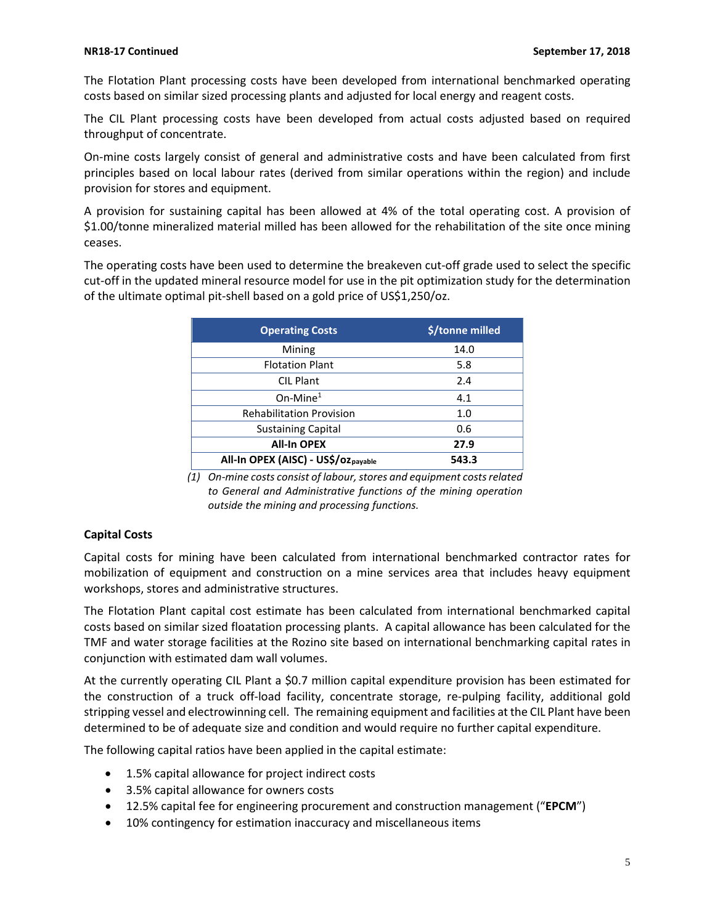The Flotation Plant processing costs have been developed from international benchmarked operating costs based on similar sized processing plants and adjusted for local energy and reagent costs.

The CIL Plant processing costs have been developed from actual costs adjusted based on required throughput of concentrate.

On-mine costs largely consist of general and administrative costs and have been calculated from first principles based on local labour rates (derived from similar operations within the region) and include provision for stores and equipment.

A provision for sustaining capital has been allowed at 4% of the total operating cost. A provision of \$1.00/tonne mineralized material milled has been allowed for the rehabilitation of the site once mining ceases.

The operating costs have been used to determine the breakeven cut-off grade used to select the specific cut-off in the updated mineral resource model for use in the pit optimization study for the determination of the ultimate optimal pit-shell based on a gold price of US\$1,250/oz.

| <b>Operating Costs</b>              | \$/tonne milled |
|-------------------------------------|-----------------|
| Mining                              | 14.0            |
| <b>Flotation Plant</b>              | 5.8             |
| <b>CIL Plant</b>                    | 2.4             |
| $On$ -Mine $1$                      | 4.1             |
| <b>Rehabilitation Provision</b>     | 1.0             |
| <b>Sustaining Capital</b>           | 0.6             |
| <b>All-In OPEX</b>                  | 27.9            |
| All-In OPEX (AISC) - US\$/ozpayable | 543.3           |

*(1) On-mine costs consist of labour, stores and equipment costs related to General and Administrative functions of the mining operation outside the mining and processing functions.*

### **Capital Costs**

Capital costs for mining have been calculated from international benchmarked contractor rates for mobilization of equipment and construction on a mine services area that includes heavy equipment workshops, stores and administrative structures.

The Flotation Plant capital cost estimate has been calculated from international benchmarked capital costs based on similar sized floatation processing plants. A capital allowance has been calculated for the TMF and water storage facilities at the Rozino site based on international benchmarking capital rates in conjunction with estimated dam wall volumes.

At the currently operating CIL Plant a \$0.7 million capital expenditure provision has been estimated for the construction of a truck off-load facility, concentrate storage, re-pulping facility, additional gold stripping vessel and electrowinning cell. The remaining equipment and facilities at the CIL Plant have been determined to be of adequate size and condition and would require no further capital expenditure.

The following capital ratios have been applied in the capital estimate:

- 1.5% capital allowance for project indirect costs
- 3.5% capital allowance for owners costs
- 12.5% capital fee for engineering procurement and construction management ("**EPCM**")
- 10% contingency for estimation inaccuracy and miscellaneous items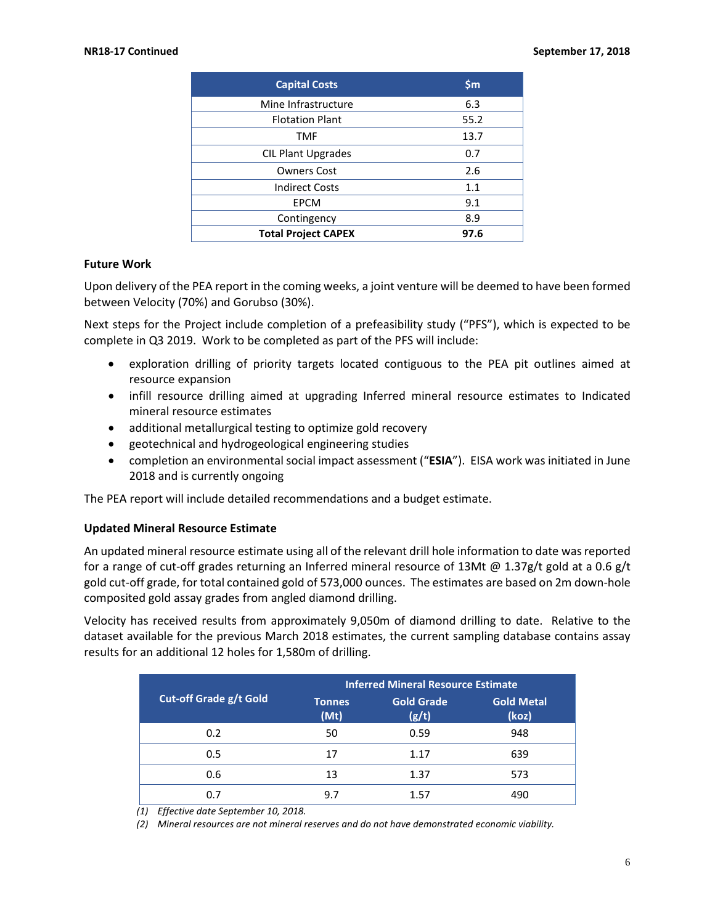| <b>Capital Costs</b>       | \$m\$ |
|----------------------------|-------|
| Mine Infrastructure        | 6.3   |
| <b>Flotation Plant</b>     | 55.2  |
| <b>TMF</b>                 | 13.7  |
| <b>CIL Plant Upgrades</b>  | 0.7   |
| Owners Cost                | 2.6   |
| <b>Indirect Costs</b>      | 1.1   |
| <b>EPCM</b>                | 9.1   |
| Contingency                | 8.9   |
| <b>Total Project CAPEX</b> | 97.6  |

### **Future Work**

Upon delivery of the PEA report in the coming weeks, a joint venture will be deemed to have been formed between Velocity (70%) and Gorubso (30%).

Next steps for the Project include completion of a prefeasibility study ("PFS"), which is expected to be complete in Q3 2019. Work to be completed as part of the PFS will include:

- exploration drilling of priority targets located contiguous to the PEA pit outlines aimed at resource expansion
- infill resource drilling aimed at upgrading Inferred mineral resource estimates to Indicated mineral resource estimates
- additional metallurgical testing to optimize gold recovery
- geotechnical and hydrogeological engineering studies
- completion an environmental social impact assessment ("**ESIA**"). EISA work was initiated in June 2018 and is currently ongoing

The PEA report will include detailed recommendations and a budget estimate.

### **Updated Mineral Resource Estimate**

An updated mineral resource estimate using all of the relevant drill hole information to date was reported for a range of cut-off grades returning an Inferred mineral resource of 13Mt @ 1.37g/t gold at a 0.6 g/t gold cut-off grade, for total contained gold of 573,000 ounces. The estimates are based on 2m down-hole composited gold assay grades from angled diamond drilling.

Velocity has received results from approximately 9,050m of diamond drilling to date. Relative to the dataset available for the previous March 2018 estimates, the current sampling database contains assay results for an additional 12 holes for 1,580m of drilling.

|                               | <b>Inferred Mineral Resource Estimate</b> |                            |                            |
|-------------------------------|-------------------------------------------|----------------------------|----------------------------|
| <b>Cut-off Grade g/t Gold</b> | <b>Tonnes</b><br>(Mt)                     | <b>Gold Grade</b><br>(g/t) | <b>Gold Metal</b><br>(koz) |
| 0.2                           | 50                                        | 0.59                       | 948                        |
| 0.5                           | 17                                        | 1.17                       | 639                        |
| 0.6                           | 13                                        | 1.37                       | 573                        |
| 0.7                           | 9.7                                       | 1.57                       | 490                        |

*(1) Effective date September 10, 2018.*

*(2) Mineral resources are not mineral reserves and do not have demonstrated economic viability.*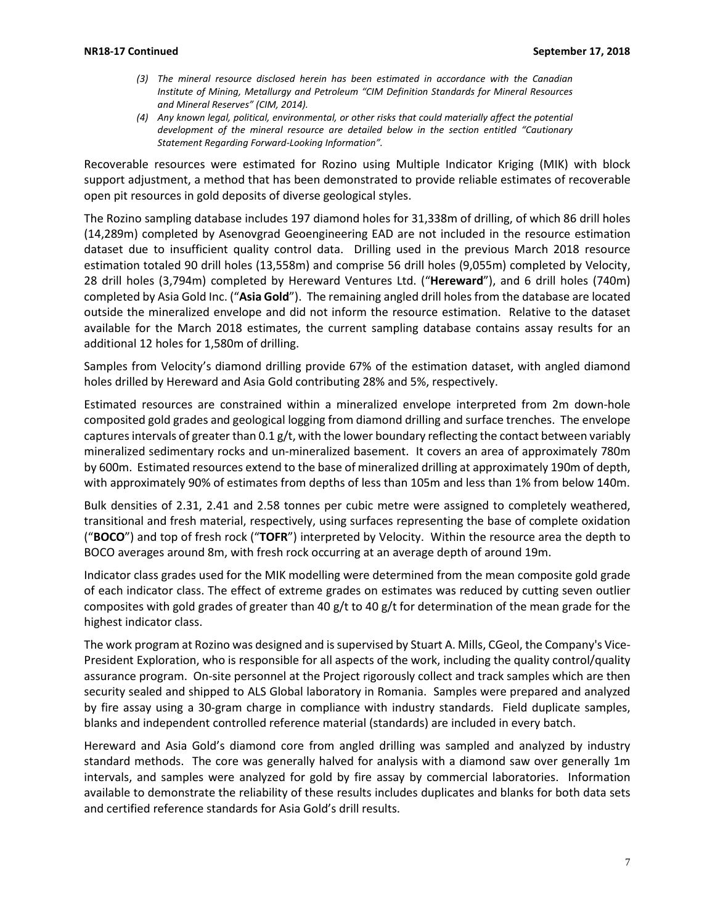- *(3) The mineral resource disclosed herein has been estimated in accordance with the Canadian Institute of Mining, Metallurgy and Petroleum "CIM Definition Standards for Mineral Resources and Mineral Reserves" (CIM, 2014).*
- *(4) Any known legal, political, environmental, or other risks that could materially affect the potential development of the mineral resource are detailed below in the section entitled "Cautionary Statement Regarding Forward-Looking Information".*

Recoverable resources were estimated for Rozino using Multiple Indicator Kriging (MIK) with block support adjustment, a method that has been demonstrated to provide reliable estimates of recoverable open pit resources in gold deposits of diverse geological styles.

The Rozino sampling database includes 197 diamond holes for 31,338m of drilling, of which 86 drill holes (14,289m) completed by Asenovgrad Geoengineering EAD are not included in the resource estimation dataset due to insufficient quality control data. Drilling used in the previous March 2018 resource estimation totaled 90 drill holes (13,558m) and comprise 56 drill holes (9,055m) completed by Velocity, 28 drill holes (3,794m) completed by Hereward Ventures Ltd. ("**Hereward**"), and 6 drill holes (740m) completed by Asia Gold Inc. ("**Asia Gold**"). The remaining angled drill holes from the database are located outside the mineralized envelope and did not inform the resource estimation. Relative to the dataset available for the March 2018 estimates, the current sampling database contains assay results for an additional 12 holes for 1,580m of drilling.

Samples from Velocity's diamond drilling provide 67% of the estimation dataset, with angled diamond holes drilled by Hereward and Asia Gold contributing 28% and 5%, respectively.

Estimated resources are constrained within a mineralized envelope interpreted from 2m down-hole composited gold grades and geological logging from diamond drilling and surface trenches. The envelope captures intervals of greater than 0.1 g/t, with the lower boundary reflecting the contact between variably mineralized sedimentary rocks and un-mineralized basement. It covers an area of approximately 780m by 600m. Estimated resources extend to the base of mineralized drilling at approximately 190m of depth, with approximately 90% of estimates from depths of less than 105m and less than 1% from below 140m.

Bulk densities of 2.31, 2.41 and 2.58 tonnes per cubic metre were assigned to completely weathered, transitional and fresh material, respectively, using surfaces representing the base of complete oxidation ("**BOCO**") and top of fresh rock ("**TOFR**") interpreted by Velocity. Within the resource area the depth to BOCO averages around 8m, with fresh rock occurring at an average depth of around 19m.

Indicator class grades used for the MIK modelling were determined from the mean composite gold grade of each indicator class. The effect of extreme grades on estimates was reduced by cutting seven outlier composites with gold grades of greater than 40 g/t to 40 g/t for determination of the mean grade for the highest indicator class.

The work program at Rozino was designed and is supervised by Stuart A. Mills, CGeol, the Company's Vice-President Exploration, who is responsible for all aspects of the work, including the quality control/quality assurance program. On-site personnel at the Project rigorously collect and track samples which are then security sealed and shipped to ALS Global laboratory in Romania. Samples were prepared and analyzed by fire assay using a 30-gram charge in compliance with industry standards. Field duplicate samples, blanks and independent controlled reference material (standards) are included in every batch.

Hereward and Asia Gold's diamond core from angled drilling was sampled and analyzed by industry standard methods. The core was generally halved for analysis with a diamond saw over generally 1m intervals, and samples were analyzed for gold by fire assay by commercial laboratories. Information available to demonstrate the reliability of these results includes duplicates and blanks for both data sets and certified reference standards for Asia Gold's drill results.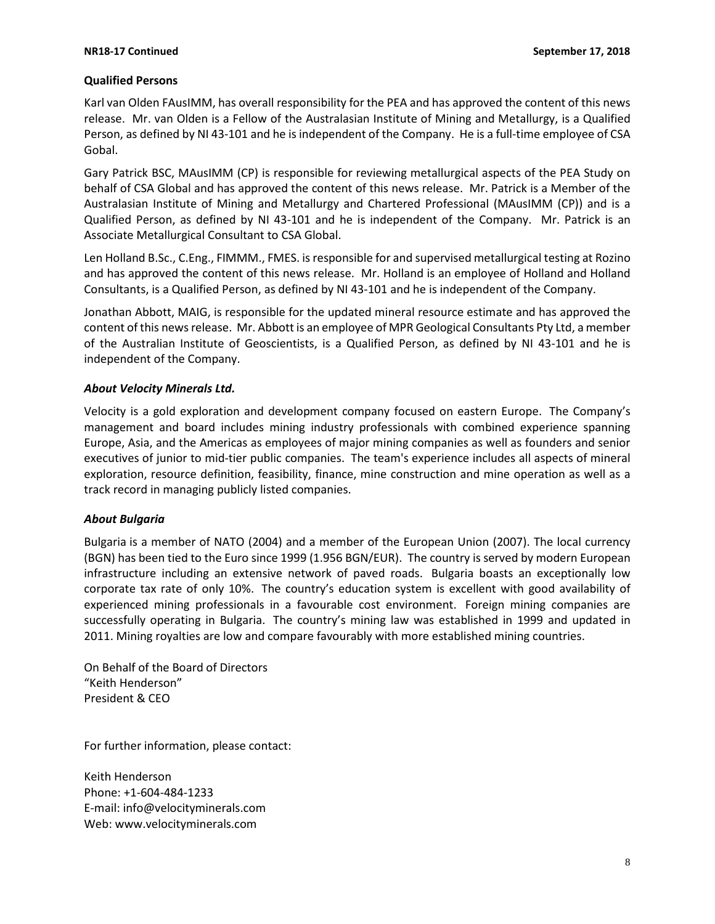### **Qualified Persons**

Karl van Olden FAusIMM, has overall responsibility for the PEA and has approved the content of this news release. Mr. van Olden is a Fellow of the Australasian Institute of Mining and Metallurgy, is a Qualified Person, as defined by NI 43-101 and he is independent of the Company. He is a full-time employee of CSA Gobal.

Gary Patrick BSC, MAusIMM (CP) is responsible for reviewing metallurgical aspects of the PEA Study on behalf of CSA Global and has approved the content of this news release. Mr. Patrick is a Member of the Australasian Institute of Mining and Metallurgy and Chartered Professional (MAusIMM (CP)) and is a Qualified Person, as defined by NI 43-101 and he is independent of the Company. Mr. Patrick is an Associate Metallurgical Consultant to CSA Global.

Len Holland B.Sc., C.Eng., FIMMM., FMES. is responsible for and supervised metallurgical testing at Rozino and has approved the content of this news release. Mr. Holland is an employee of Holland and Holland Consultants, is a Qualified Person, as defined by NI 43-101 and he is independent of the Company.

Jonathan Abbott, MAIG, is responsible for the updated mineral resource estimate and has approved the content of this news release. Mr. Abbott is an employee of MPR Geological Consultants Pty Ltd, a member of the Australian Institute of Geoscientists, is a Qualified Person, as defined by NI 43-101 and he is independent of the Company.

### *About Velocity Minerals Ltd.*

Velocity is a gold exploration and development company focused on eastern Europe. The Company's management and board includes mining industry professionals with combined experience spanning Europe, Asia, and the Americas as employees of major mining companies as well as founders and senior executives of junior to mid-tier public companies. The team's experience includes all aspects of mineral exploration, resource definition, feasibility, finance, mine construction and mine operation as well as a track record in managing publicly listed companies.

### *About Bulgaria*

Bulgaria is a member of NATO (2004) and a member of the European Union (2007). The local currency (BGN) has been tied to the Euro since 1999 (1.956 BGN/EUR). The country is served by modern European infrastructure including an extensive network of paved roads. Bulgaria boasts an exceptionally low corporate tax rate of only 10%. The country's education system is excellent with good availability of experienced mining professionals in a favourable cost environment. Foreign mining companies are successfully operating in Bulgaria. The country's mining law was established in 1999 and updated in 2011. Mining royalties are low and compare favourably with more established mining countries.

On Behalf of the Board of Directors "Keith Henderson" President & CEO

For further information, please contact:

Keith Henderson Phone: +1-604-484-1233 E-mail: [info@velocityminerals.com](mailto:info@velocityminerals.com) Web: [www.velocityminerals.com](http://www.velocityminerals.com/)